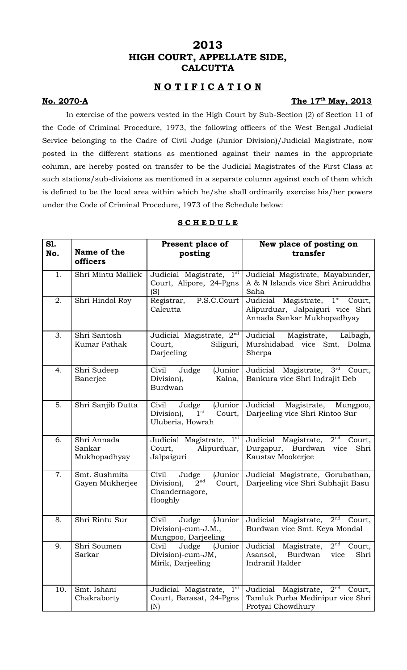# **2013 HIGH COURT, APPELLATE SIDE, CALCUTTA**

## **N O T I F I C A T I O N**

#### **No. 2070-A**

## The 17<sup>th</sup> May, 2013

In exercise of the powers vested in the High Court by Sub-Section (2) of Section 11 of the Code of Criminal Procedure, 1973, the following officers of the West Bengal Judicial Service belonging to the Cadre of Civil Judge (Junior Division)/Judicial Magistrate, now posted in the different stations as mentioned against their names in the appropriate column, are hereby posted on transfer to be the Judicial Magistrates of the First Class at such stations/sub-divisions as mentioned in a separate column against each of them which is defined to be the local area within which he/she shall ordinarily exercise his/her powers under the Code of Criminal Procedure, 1973 of the Schedule below:

| S1.<br>No. | Name of the<br>officers               | Present place of<br>posting                                                                       | New place of posting on<br>transfer                                                                                     |
|------------|---------------------------------------|---------------------------------------------------------------------------------------------------|-------------------------------------------------------------------------------------------------------------------------|
| 1.         | Shri Mintu Mallick                    | Judicial Magistrate, 1st<br>Court, Alipore, 24-Pgns<br>(S)                                        | Judicial Magistrate, Mayabunder,<br>A & N Islands vice Shri Aniruddha<br>Saha                                           |
| 2.         | Shri Hindol Roy                       | P.S.C.Court<br>Registrar,<br>Calcutta                                                             | Magistrate, $1^{\overline{st}}$<br>Judicial<br>Court,<br>Alipurduar, Jalpaiguri vice Shri<br>Annada Sankar Mukhopadhyay |
| 3.         | Shri Santosh<br><b>Kumar Pathak</b>   | Judicial Magistrate, 2nd<br>Siliguri,<br>Court,<br>Darjeeling                                     | Judicial<br>Magistrate,<br>Lalbagh,<br>Murshidabad vice Smt.<br>Dolma<br>Sherpa                                         |
| 4.         | Shri Sudeep<br>Banerjee               | Civil<br>Judge<br>(Junior<br>Division),<br>Kalna,<br><b>Burdwan</b>                               | Judicial Magistrate, 3rd<br>Court,<br>Bankura vice Shri Indrajit Deb                                                    |
| 5.         | Shri Sanjib Dutta                     | Judge<br>(Junior<br>Civil<br>Division),<br>$1^{\rm st}$<br>Court,<br>Uluberia, Howrah             | Judicial<br>Magistrate,<br>Mungpoo,<br>Darjeeling vice Shri Rintoo Sur                                                  |
| 6.         | Shri Annada<br>Sankar<br>Mukhopadhyay | Judicial Magistrate, 1 <sup>st</sup><br>Court,<br>Alipurduar,<br>Jalpaiguri                       | $2^{\rm nd}$<br>Judicial Magistrate,<br>Court,<br>Burdwan<br>Shri<br>Durgapur,<br>vice<br>Kaustav Mookerjee             |
| 7.         | Smt. Sushmita<br>Gayen Mukherjee      | Civil<br>(Junior<br>Judge<br>2 <sup>nd</sup><br>Division),<br>Court,<br>Chandernagore,<br>Hooghly | Judicial Magistrate, Gorubathan,<br>Darjeeling vice Shri Subhajit Basu                                                  |
| 8.         | Shri Rintu Sur                        | Civil<br>(Junior<br>Judge<br>Division)-cum-J.M.,<br>Mungpoo, Darjeeling                           | Judicial<br>Magistrate, $2nd$<br>Court,<br>Burdwan vice Smt. Keya Mondal                                                |
| 9.         | Shri Soumen<br>Sarkar                 | Judge<br>Civil<br>(Junior<br>Division)-cum-JM,<br>Mirik, Darjeeling                               | 2 <sup>nd</sup><br>Judicial<br>Magistrate,<br>Court,<br>Shri<br>Asansol,<br>Burdwan<br>vice<br>Indranil Halder          |
| 10.        | Smt. Ishani<br>Chakraborty            | Judicial Magistrate, 1st<br>Court, Barasat, 24-Pgns<br>(N)                                        | 2 <sup>nd</sup><br>Judicial<br>Magistrate,<br>Court,<br>Tamluk Purba Medinipur vice Shri<br>Protyai Chowdhury           |

## **S C H E D U L E**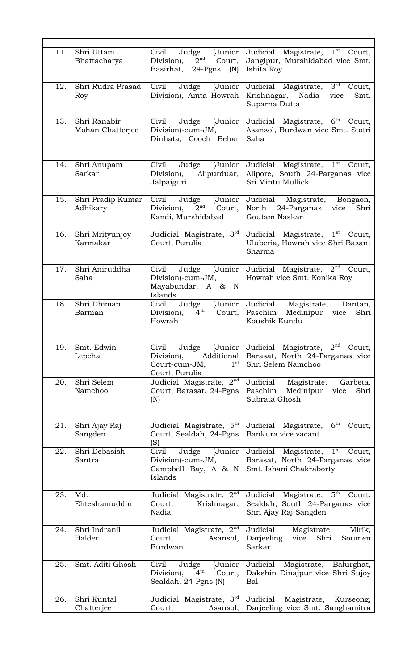| 11. | Shri Uttam<br>Bhattacharya       | Civil<br>Judge<br>(Junior<br>2 <sup>nd</sup><br>Division),<br>Court,<br>Basirhat,<br>$24-Pgns$ (N)          | Judicial Magistrate, 1 <sup>st</sup> Court,<br>Jangipur, Murshidabad vice Smt.<br>Ishita Roy                  |
|-----|----------------------------------|-------------------------------------------------------------------------------------------------------------|---------------------------------------------------------------------------------------------------------------|
| 12. | Shri Rudra Prasad<br>Roy         | Civil<br>Judge<br>(Junior<br>Division), Amta Howrah                                                         | $3^{\text{rd}}$<br>Judicial Magistrate,<br>Court,<br>Krishnagar,<br>Nadia<br>Smt.<br>vice<br>Suparna Dutta    |
| 13. | Shri Ranabir<br>Mohan Chatterjee | Civil<br>(Junior<br>Judge<br>Division)-cum-JM,<br>Dinhata, Cooch Behar                                      | 6 <sup>th</sup><br>Judicial Magistrate,<br>Court,<br>Asansol, Burdwan vice Smt. Stotri<br>Saha                |
| 14. | Shri Anupam<br>Sarkar            | Judge (Junior<br>Civil<br>Division),<br>Alipurduar,<br>Jalpaiguri                                           | Judicial Magistrate, 1 <sup>st</sup> Court,<br>Alipore, South 24-Parganas vice<br>Sri Mintu Mullick           |
| 15. | Shri Pradip Kumar<br>Adhikary    | Civil<br>Judge<br>(Junior<br>2 <sup>nd</sup><br>Division),<br>Court,<br>Kandi, Murshidabad                  | Judicial<br>Magistrate,<br>Bongaon,<br>North<br>24-Parganas<br>Shri<br>vice<br>Goutam Naskar                  |
| 16. | Shri Mrityunjoy<br>Karmakar      | Judicial Magistrate, 3rd<br>Court, Purulia                                                                  | Judicial Magistrate, 1 <sup>st</sup> Court,<br>Uluberia, Howrah vice Shri Basant<br>Sharma                    |
| 17. | Shri Aniruddha<br>Saha           | Civil<br>Judge<br>(Junior<br>Division)-cum-JM,<br>Mayabundar, A & N<br>Islands                              | Judicial Magistrate, $2^{\overline{nd}}$<br>Court,<br>Howrah vice Smt. Konika Roy                             |
| 18. | Shri Dhiman<br>Barman            | Judge<br>(Junior<br>Civil<br>$4^{\text{th}}$<br>Division),<br>Court.<br>Howrah                              | Judicial<br>Magistrate,<br>Dantan,<br>Paschim<br>Medinipur<br>Shri<br>vice<br>Koushik Kundu                   |
| 19. | Smt. Edwin<br>Lepcha             | Civil<br>Judge<br>(Junior<br>Additional<br>Division),<br>1 <sup>st</sup><br>Court-cum-JM,<br>Court, Purulia | 2 <sup>nd</sup><br>Judicial<br>Magistrate,<br>Court,<br>Barasat, North 24-Parganas vice<br>Shri Selem Namchoo |
| 20. | Shri Selem<br>Namchoo            | Judicial Magistrate, $2^{\overline{nd}}$<br>Court, Barasat, 24-Pgns<br>(N)                                  | Judicial<br>Magistrate,<br>Garbeta,<br>Paschim<br>Medinipur<br>vice<br>Shri<br>Subrata Ghosh                  |
| 21. | Shri Ajay Raj<br>Sangden         | Judicial Magistrate, 5th<br>Court, Sealdah, 24-Pgns<br>(S)                                                  | 6 <sup>th</sup><br>Judicial Magistrate,<br>Court,<br>Bankura vice vacant                                      |
| 22. | Shri Debasish<br>Santra          | Judge<br>(Junior<br>Civil<br>Division)-cum-JM,<br>Campbell Bay, A & N<br>Islands                            | $1^{st}$<br>Judicial Magistrate,<br>Court,<br>Barasat, North 24-Parganas vice<br>Smt. Ishani Chakraborty      |
| 23. | Md.<br>Ehteshamuddin             | Judicial Magistrate, 2 <sup>nd</sup><br>Court,<br>Krishnagar,<br>Nadia                                      | Magistrate, 5 <sup>th</sup><br>Judicial<br>Court,<br>Sealdah, South 24-Parganas vice<br>Shri Ajay Raj Sangden |
| 24. | Shri Indranil<br>Halder          | Judicial Magistrate, 2 <sup>nd</sup><br>Court,<br>Asansol,<br><b>Burdwan</b>                                | Judicial<br>Mirik,<br>Magistrate,<br>Darjeeling<br>Shri<br>vice<br>Soumen<br>Sarkar                           |
| 25. | Smt. Aditi Ghosh                 | Civil<br>Judge<br>(Junior<br>$4^{\text{th}}$<br>Division),<br>Court,<br>Sealdah, 24-Pgns (N)                | Judicial<br>Magistrate, Balurghat,<br>Dakshin Dinajpur vice Shri Sujoy<br>Bal                                 |
| 26. | Shri Kuntal                      | Judicial Magistrate, 3rd                                                                                    | Judicial<br>Magistrate,<br>Kurseong,                                                                          |
|     | Chatterjee                       | Court,<br>Asansol,                                                                                          | Darjeeling vice Smt. Sanghamitra                                                                              |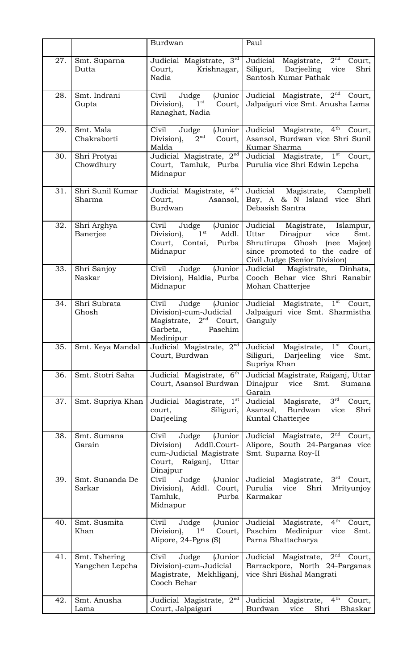|     |                                  | Burdwan                                                                                                                | Paul                                                                                                                                                                            |
|-----|----------------------------------|------------------------------------------------------------------------------------------------------------------------|---------------------------------------------------------------------------------------------------------------------------------------------------------------------------------|
| 27. | Smt. Suparna<br>Dutta            | Judicial Magistrate, 3rd<br>Court,<br>Krishnagar,<br>Nadia                                                             | 2 <sup>nd</sup><br>Judicial<br>Magistrate,<br>Court,<br>Siliguri,<br>Darjeeling<br>Shri<br>vice<br>Santosh Kumar Pathak                                                         |
| 28. | Smt. Indrani<br>Gupta            | Civil<br>Judge<br>(Junior<br>$1^{\rm st}$<br>Division),<br>Court,<br>Ranaghat, Nadia                                   | Judicial Magistrate, 2 <sup>nd</sup><br>Court,<br>Jalpaiguri vice Smt. Anusha Lama                                                                                              |
| 29. | Smt. Mala<br>Chakraborti         | Civil<br>(Junior<br>Judge<br>2 <sup>nd</sup><br>Division),<br>Court,<br>Malda                                          | Judicial Magistrate, 4 <sup>th</sup> Court,<br>Asansol, Burdwan vice Shri Sunil<br>Kumar Sharma                                                                                 |
| 30. | Shri Protyai<br>Chowdhury        | Judicial Magistrate, 2nd<br>Court, Tamluk, Purba<br>Midnapur                                                           | Judicial Magistrate, 1 <sup>st</sup> Court,<br>Purulia vice Shri Edwin Lepcha                                                                                                   |
| 31. | Shri Sunil Kumar<br>Sharma       | Judicial Magistrate, 4th<br>Court,<br>Asansol,<br>Burdwan                                                              | Judicial<br>Magistrate,<br>Campbell<br>Bay, A & N Island vice Shri<br>Debasish Santra                                                                                           |
| 32. | Shri Arghya<br>Banerjee          | Civil<br>Judge<br>(Junior<br>$1^{\rm st}$<br>Division),<br>Addl.<br>Court, Contai,<br>Purba<br>Midnapur                | Judicial<br>Magistrate,<br>Islampur,<br>Uttar<br>Dinajpur<br>vice<br>Smt.<br>Shrutirupa Ghosh (nee<br>Majee)<br>since promoted to the cadre of<br>Civil Judge (Senior Division) |
| 33. | Shri Sanjoy<br>Naskar            | Judge<br>(Junior<br>Civil<br>Division), Haldia, Purba<br>Midnapur                                                      | Judicial<br>Magistrate,<br>Dinhata,<br>Cooch Behar vice Shri Ranabir<br>Mohan Chatterjee                                                                                        |
| 34. | Shri Subrata<br>Ghosh            | (Junior<br>Civil<br>Judge<br>Division)-cum-Judicial<br>Magistrate, $2nd$ Court,<br>Garbeta,<br>Paschim<br>Medinipur    | Judicial Magistrate, 1st<br>Court,<br>Jalpaiguri vice Smt. Sharmistha<br>Ganguly                                                                                                |
| 35. | Smt. Keya Mandal                 | Judicial Magistrate, 2nd<br>Court, Burdwan                                                                             | $1^{\rm st}$<br>Judicial<br>Magistrate,<br>Court,<br>Siliguri,<br>Darjeeling<br>Smt.<br>vice<br>Supriya Khan                                                                    |
| 36. | Smt. Stotri Saha                 | Judicial Magistrate, 6th<br>Court, Asansol Burdwan                                                                     | Judicial Magistrate, Raiganj, Uttar<br>Dinajpur<br>Smt.<br>vice<br>Sumana<br>Garain                                                                                             |
| 37. | Smt. Supriya Khan                | Judicial Magistrate, 1st<br>court,<br>Siliguri,<br>Darjeeling                                                          | $3^{\text{rd}}$<br>Judicial<br>Magisrate,<br>Court,<br>Asansol,<br>Burdwan<br>Shri<br>vice<br>Kuntal Chatterjee                                                                 |
| 38. | Smt. Sumana<br>Garain            | Civil<br>Judge<br>(Junior<br>Addll.Court-<br>Division)<br>cum-Judicial Magistrate<br>Court, Raiganj, Uttar<br>Dinajpur | 2 <sup>nd</sup><br>Judicial Magistrate,<br>Court,<br>Alipore, South 24-Parganas vice<br>Smt. Suparna Roy-II                                                                     |
| 39. | Smt. Sunanda De<br>Sarkar        | (Junior<br>Judge<br>Civil<br>Division),<br>Addl.<br>Court,<br>Tamluk,<br>Purba<br>Midnapur                             | $3^{\text{rd}}$<br>Judicial<br>Magistrate,<br>Court,<br>Purulia<br>vice<br>Shri<br>Mrityunjoy<br>Karmakar                                                                       |
| 40. | Smt. Susmita<br>Khan             | Civil<br>(Junior<br>Judge<br>1 <sup>st</sup><br>Division),<br>Court,<br>Alipore, 24-Pgns (S)                           | $4^{\text{th}}$<br>Judicial<br>Magistrate,<br>Court,<br>Paschim<br>Medinipur<br>vice<br>Smt.<br>Parna Bhattacharya                                                              |
| 41. | Smt. Tshering<br>Yangchen Lepcha | Civil<br>Judge<br>(Junior<br>Division)-cum-Judicial<br>Magistrate, Mekhliganj,<br>Cooch Behar                          | 2 <sup>nd</sup><br>Judicial Magistrate,<br>Court,<br>Barrackpore, North 24-Parganas<br>vice Shri Bishal Mangrati                                                                |
| 42. | Smt. Anusha<br>Lama              | Judicial Magistrate, 2 <sup>nd</sup><br>Court, Jalpaiguri                                                              | $4^{\text{th}}$<br>Judicial<br>Magistrate,<br>Court,<br>Burdwan<br>Shri<br>Bhaskar<br>vice                                                                                      |
|     |                                  |                                                                                                                        |                                                                                                                                                                                 |